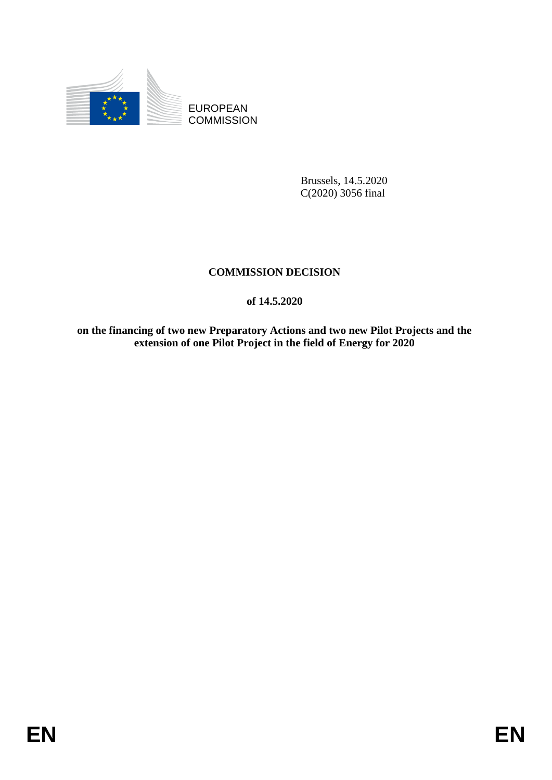

EUROPEAN **COMMISSION** 

> Brussels, 14.5.2020 C(2020) 3056 final

# **COMMISSION DECISION**

# **of 14.5.2020**

**on the financing of two new Preparatory Actions and two new Pilot Projects and the extension of one Pilot Project in the field of Energy for 2020**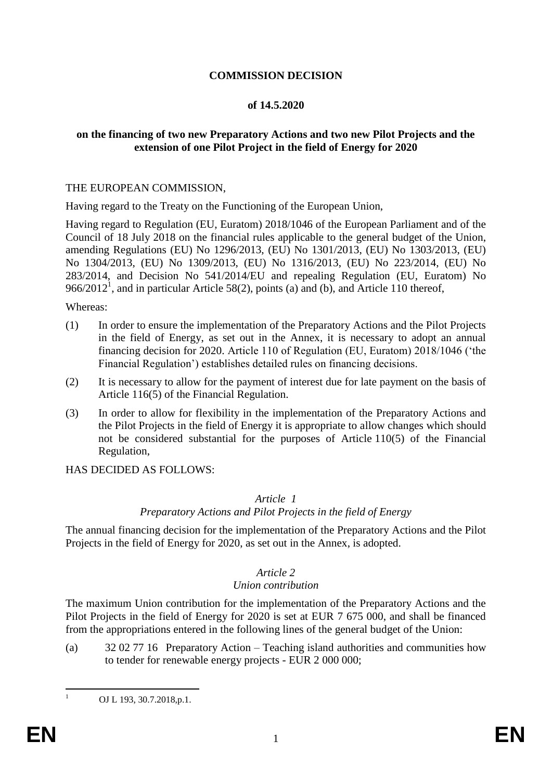## **COMMISSION DECISION**

### **of 14.5.2020**

## **on the financing of two new Preparatory Actions and two new Pilot Projects and the extension of one Pilot Project in the field of Energy for 2020**

### THE EUROPEAN COMMISSION,

Having regard to the Treaty on the Functioning of the European Union,

Having regard to Regulation (EU, Euratom) 2018/1046 of the European Parliament and of the Council of 18 July 2018 on the financial rules applicable to the general budget of the Union, amending Regulations (EU) No 1296/2013, (EU) No 1301/2013, (EU) No 1303/2013, (EU) No 1304/2013, (EU) No 1309/2013, (EU) No 1316/2013, (EU) No 223/2014, (EU) No 283/2014, and Decision No 541/2014/EU and repealing Regulation (EU, Euratom) No 966/2012<sup>1</sup>, and in particular Article 58(2), points (a) and (b), and Article 110 thereof,

### Whereas:

- (1) In order to ensure the implementation of the Preparatory Actions and the Pilot Projects in the field of Energy, as set out in the Annex, it is necessary to adopt an annual financing decision for 2020. Article 110 of Regulation (EU, Euratom) 2018/1046 ('the Financial Regulation') establishes detailed rules on financing decisions.
- (2) It is necessary to allow for the payment of interest due for late payment on the basis of Article 116(5) of the Financial Regulation.
- (3) In order to allow for flexibility in the implementation of the Preparatory Actions and the Pilot Projects in the field of Energy it is appropriate to allow changes which should not be considered substantial for the purposes of Article 110(5) of the Financial Regulation,

HAS DECIDED AS FOLLOWS:

## *Article 1*

#### *Preparatory Actions and Pilot Projects in the field of Energy*

The annual financing decision for the implementation of the Preparatory Actions and the Pilot Projects in the field of Energy for 2020, as set out in the Annex, is adopted.

## *Article 2*

## *Union contribution*

The maximum Union contribution for the implementation of the Preparatory Actions and the Pilot Projects in the field of Energy for 2020 is set at EUR 7 675 000, and shall be financed from the appropriations entered in the following lines of the general budget of the Union:

(a) 32 02 77 16 Preparatory Action – Teaching island authorities and communities how to tender for renewable energy projects - EUR 2 000 000;

 $\mathbf{1}$ 

OJ L 193, 30.7.2018, p.1.